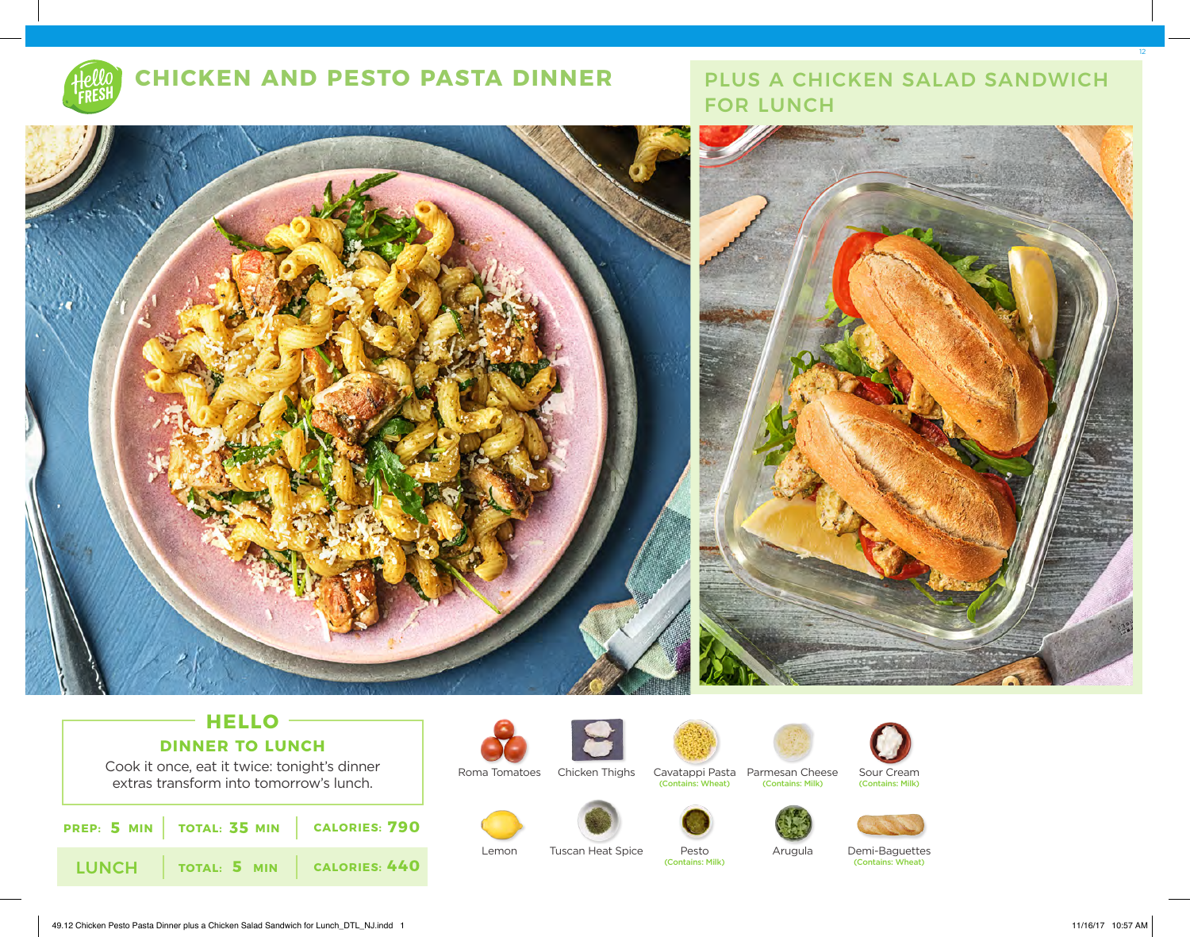

# **CHICKEN AND PESTO PASTA DINNER**

# PLUS A CHICKEN SALAD SANDWICH FOR LUNCH



## **HELLO DINNER TO LUNCH**

Cook it once, eat it twice: tonight's dinner extras transform into tomorrow's lunch.

| <b>PREP:</b> 5 MIN   TOTAL: 35 MIN   CALORIES: 790 |  |
|----------------------------------------------------|--|
| LUNCH   TOTAL: 5 MIN   CALORIES: 440               |  |





Roma Tomatoes Chicken Thighs

Cavatappi Pasta Parmesan Cheese (Contains: Wheat) (Contains: Milk) (Contains: Milk)







Lemon Tuscan Heat Spice Pesto

Arugula





Demi-Baguettes (Contains: Milk) (Contains: Wheat)

12